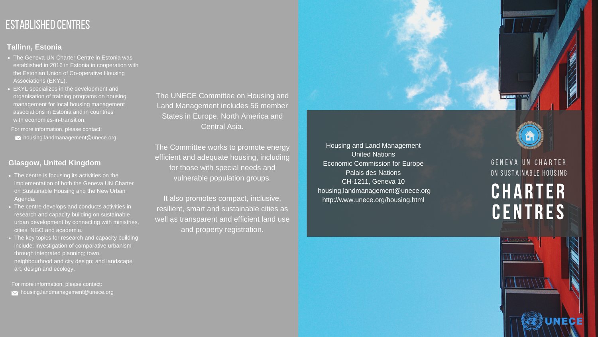Housing and Land Management United Nations Economic Commission for Europe Palais des Nations housing.landmanagement@unece.org

CH-1211, Geneva 10 http://www.unece.org/housing.html





The UNECE Committee on Housing and Land Management includes 56 member States in Europe, North America and Central Asia.

The Committee works to promote energy efficient and adequate housing, including for those with special needs and vulnerable population groups.

- The Geneva UN Charter Centre in Estonia was established in 2016 in Estonia in cooperation with the Estonian Union of Co-operative Housing Associations (EKYL).
- EKYL specializes in the development and organisation of training programs on housing management for local housing management associations in Estonia and in countries with economies-in-transition.

It also promotes compact, inclusive, resilient, smart and sustainable cities as well as transparent and efficient land use and property registration.

### ON SUSTAINABLE HOUSING G E N E V A U N C H A R T E R

# **CHARTER** CENTRES

**ENTENDAM** 

 $111111$ 

- The centre is focusing its activities on the implementation of both the Geneva UN Charter on Sustainable Housing and the New Urban Agenda.
- The centre develops and conducts activities in research and capacity building on sustainable urban development by connecting with ministries, cities, NGO and academia.
- . The key topics for research and capacity building include: investigation of comparative urbanism through integrated planning; town, neighbourhood and city design; and landscape art, design and ecology.

## ESTABLISHED CENTRES

#### **Tallinn, Estonia**

#### **Glasgow, United Kingdom**

For more information, please contact:

 $\blacktriangleright$  housing.landmanagement@unece.org

For more information, please contact:

 $\blacktriangleright$  housing.landmanagement@unece.org